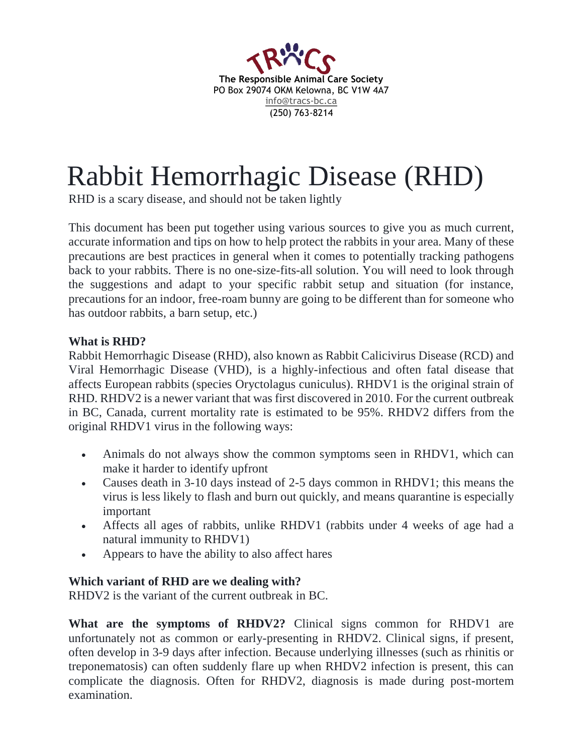

# Rabbit Hemorrhagic Disease (RHD)

RHD is a scary disease, and should not be taken lightly

This document has been put together using various sources to give you as much current, accurate information and tips on how to help protect the rabbits in your area. Many of these precautions are best practices in general when it comes to potentially tracking pathogens back to your rabbits. There is no one-size-fits-all solution. You will need to look through the suggestions and adapt to your specific rabbit setup and situation (for instance, precautions for an indoor, free-roam bunny are going to be different than for someone who has outdoor rabbits, a barn setup, etc.)

#### **What is RHD?**

Rabbit Hemorrhagic Disease (RHD), also known as Rabbit Calicivirus Disease (RCD) and Viral Hemorrhagic Disease (VHD), is a highly-infectious and often fatal disease that affects European rabbits (species Oryctolagus cuniculus). RHDV1 is the original strain of RHD. RHDV2 is a newer variant that was first discovered in 2010. For the current outbreak in BC, Canada, current mortality rate is estimated to be 95%. RHDV2 differs from the original RHDV1 virus in the following ways:

- Animals do not always show the common symptoms seen in RHDV1, which can make it harder to identify upfront
- Causes death in 3-10 days instead of 2-5 days common in RHDV1; this means the virus is less likely to flash and burn out quickly, and means quarantine is especially important
- Affects all ages of rabbits, unlike RHDV1 (rabbits under 4 weeks of age had a natural immunity to RHDV1)
- Appears to have the ability to also affect hares

#### **Which variant of RHD are we dealing with?**

RHDV2 is the variant of the current outbreak in BC.

**What are the symptoms of RHDV2?** Clinical signs common for RHDV1 are unfortunately not as common or early-presenting in RHDV2. Clinical signs, if present, often develop in 3-9 days after infection. Because underlying illnesses (such as rhinitis or treponematosis) can often suddenly flare up when RHDV2 infection is present, this can complicate the diagnosis. Often for RHDV2, diagnosis is made during post-mortem examination.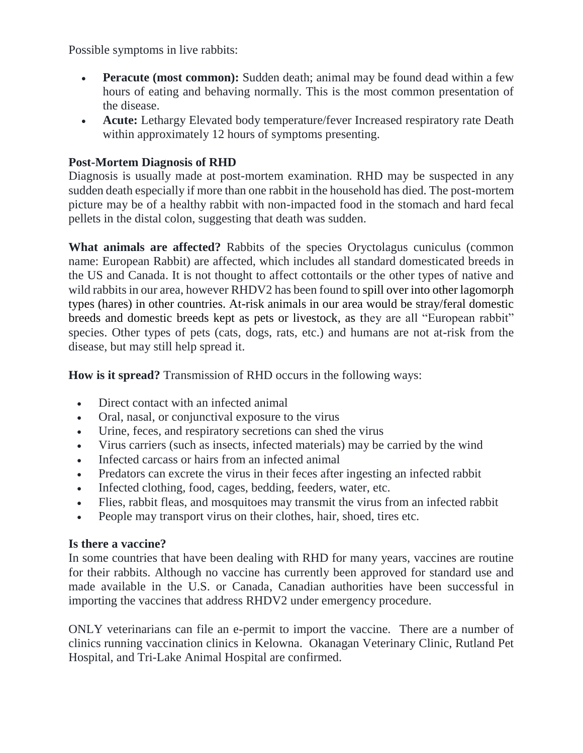Possible symptoms in live rabbits:

- **Peracute (most common):** Sudden death; animal may be found dead within a few hours of eating and behaving normally. This is the most common presentation of the disease.
- **Acute:** Lethargy Elevated body temperature/fever Increased respiratory rate Death within approximately 12 hours of symptoms presenting.

# **Post-Mortem Diagnosis of RHD**

Diagnosis is usually made at post-mortem examination. RHD may be suspected in any sudden death especially if more than one rabbit in the household has died. The post-mortem picture may be of a healthy rabbit with non-impacted food in the stomach and hard fecal pellets in the distal colon, suggesting that death was sudden.

**What animals are affected?** Rabbits of the species Oryctolagus cuniculus (common name: European Rabbit) are affected, which includes all standard domesticated breeds in the US and Canada. It is not thought to affect cottontails or the other types of native and wild rabbits in our area, however RHDV2 has been found to [spill over into other lagomorph](https://l.facebook.com/l.php?u=https%3A%2F%2Fwww.ncbi.nlm.nih.gov%2Flabs%2Farticles%2F27615998%2F&h=ATPBB3PEZTfut6NOCZGSJTWsVA86qHTRlU1oBvhCpyswQ-v7DNOlbsWzxb4a56nEqUwY_O1E8qzPVGWMVDBsDRd6H5M9Pzu3sWM1Bsv5_O_OD8e7Xg)  [types](https://l.facebook.com/l.php?u=https%3A%2F%2Fwww.ncbi.nlm.nih.gov%2Flabs%2Farticles%2F27615998%2F&h=ATPBB3PEZTfut6NOCZGSJTWsVA86qHTRlU1oBvhCpyswQ-v7DNOlbsWzxb4a56nEqUwY_O1E8qzPVGWMVDBsDRd6H5M9Pzu3sWM1Bsv5_O_OD8e7Xg) (hares) in other countries. At-risk animals in our area would be stray/feral domestic breeds and domestic breeds kept as pets or livestock, as they are all "European rabbit" species. Other types of pets (cats, dogs, rats, etc.) and humans are not at-risk from the disease, but may still help spread it.

**How is it spread?** Transmission of RHD occurs in the following ways:

- Direct contact with an infected animal
- Oral, nasal, or conjunctival exposure to the virus
- Urine, feces, and respiratory secretions can shed the virus
- Virus carriers (such as insects, infected materials) may be carried by the wind
- Infected carcass or hairs from an infected animal
- Predators can excrete the virus in their feces after ingesting an infected rabbit
- Infected clothing, food, cages, bedding, feeders, water, etc.
- Flies, rabbit fleas, and mosquitoes may transmit the virus from an infected rabbit
- People may transport virus on their clothes, hair, shoed, tires etc.

#### **Is there a vaccine?**

In some countries that have been dealing with RHD for many years, vaccines are routine for their rabbits. Although no vaccine has currently been approved for standard use and made available in the U.S. or Canada, Canadian authorities have been successful in importing the vaccines that address RHDV2 under emergency procedure.

ONLY veterinarians can file an e-permit to import the vaccine. There are a number of clinics running vaccination clinics in Kelowna. Okanagan Veterinary Clinic, Rutland Pet Hospital, and Tri-Lake Animal Hospital are confirmed.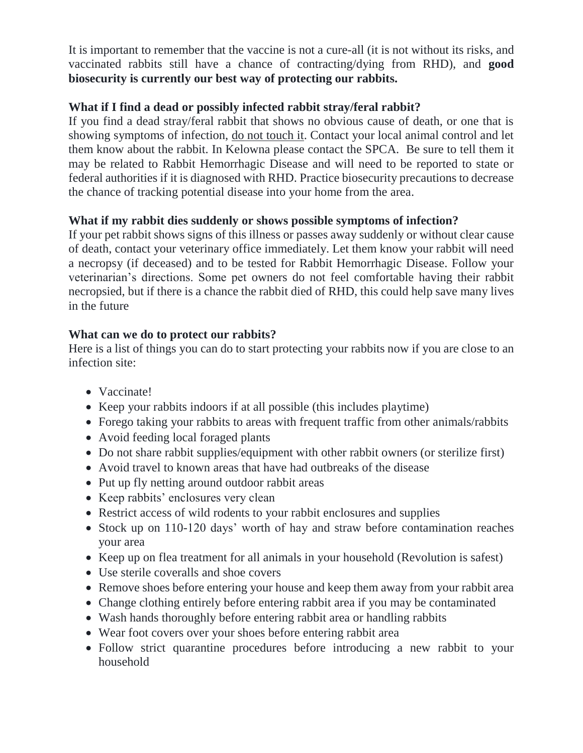It is important to remember that the vaccine is not a cure-all (it is not without its risks, and vaccinated rabbits still have a chance of contracting/dying from RHD), and **good biosecurity is currently our best way of protecting our rabbits.** 

# **What if I find a dead or possibly infected rabbit stray/feral rabbit?**

If you find a dead stray/feral rabbit that shows no obvious cause of death, or one that is showing symptoms of infection, do not touch it. Contact your local animal control and let them know about the rabbit. In Kelowna please contact the SPCA. Be sure to tell them it may be related to Rabbit Hemorrhagic Disease and will need to be reported to state or federal authorities if it is diagnosed with RHD. Practice biosecurity precautions to decrease the chance of tracking potential disease into your home from the area.

# **What if my rabbit dies suddenly or shows possible symptoms of infection?**

If your pet rabbit shows signs of this illness or passes away suddenly or without clear cause of death, contact your veterinary office immediately. Let them know your rabbit will need a necropsy (if deceased) and to be tested for Rabbit Hemorrhagic Disease. Follow your veterinarian's directions. Some pet owners do not feel comfortable having their rabbit necropsied, but if there is a chance the rabbit died of RHD, this could help save many lives in the future

# **What can we do to protect our rabbits?**

Here is a list of things you can do to start protecting your rabbits now if you are close to an infection site:

- Vaccinate!
- Keep your rabbits indoors if at all possible (this includes playtime)
- Forego taking your rabbits to areas with frequent traffic from other animals/rabbits
- Avoid feeding local foraged plants
- Do not share rabbit supplies/equipment with other rabbit owners (or sterilize first)
- Avoid travel to known areas that have had outbreaks of the disease
- Put up fly netting around outdoor rabbit areas
- Keep rabbits' enclosures very clean
- Restrict access of wild rodents to your rabbit enclosures and supplies
- Stock up on 110-120 days' worth of hay and straw before contamination reaches your area
- Keep up on flea treatment for all animals in your household (Revolution is safest)
- Use sterile coveralls and shoe covers
- Remove shoes before entering your house and keep them away from your rabbit area
- Change clothing entirely before entering rabbit area if you may be contaminated
- Wash hands thoroughly before entering rabbit area or handling rabbits
- Wear foot covers over your shoes before entering rabbit area
- Follow strict quarantine procedures before introducing a new rabbit to your household